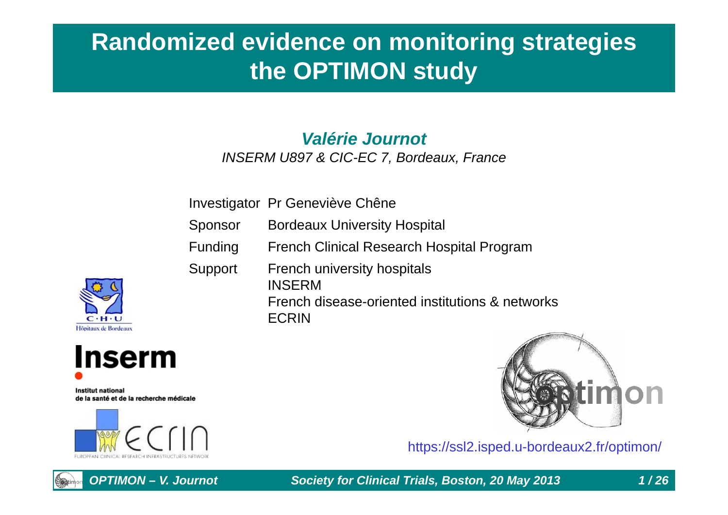# **Randomized evidence on monitoring strategies the OPTIMON study**

### *Valérie Journot*

*INSERM U897 & CIC-EC 7, Bordeaux, France*

|         | Investigator Pr Geneviève Chêne                     |
|---------|-----------------------------------------------------|
| Sponsor | <b>Bordeaux University Hospital</b>                 |
| Funding | French Clinical Research Hospital Program           |
| Support | <b>French university hospitals</b><br><b>INSERM</b> |
|         | French disease-oriented institutions & networks     |
|         | <b>ECRIN</b>                                        |





**Institut national** de la santé et de la recherche médicale





https://ssl2.isped.u-bordeaux2.fr/optimon/

*OPTIMON – V. Journot Society for Clinical Trials, Boston, 20 May 2013 1 / 26*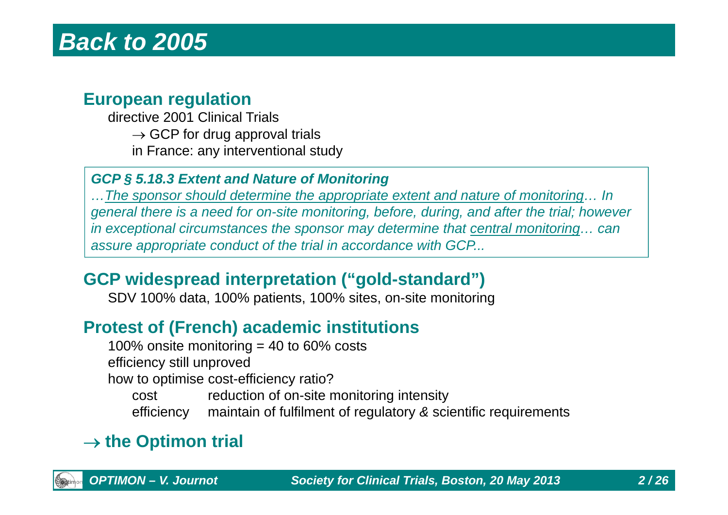### **European regulation**

directive 2001 Clinical Trials $\rightarrow$  GCP for drug approval trials in France: any interventional study

### *GCP § 5.18.3 Extent and Nature of Monitoring*

*…The sponsor should determine the appropriate extent and nature of monitoring… In general there is a need for on-site monitoring, before, during, and after the trial; however in exceptional circumstances the sponsor may determine that central monitoring… can assure appropriate conduct of the trial in accordance with GCP...*

### **GCP widespread interpretation ("gold-standard")**

SDV 100% data, 100% patients, 100% sites, on-site monitoring

## **Protest of (French) academic institutions**

100% onsite monitoring = 40 to 60% costs

efficiency still unproved

how to optimise cost-efficiency ratio?

- cost reduction of on-site monitoring intensity
- efficiency maintain of fulfilment of regulatory *&* scientific requirements

## $\rightarrow$  the Optimon trial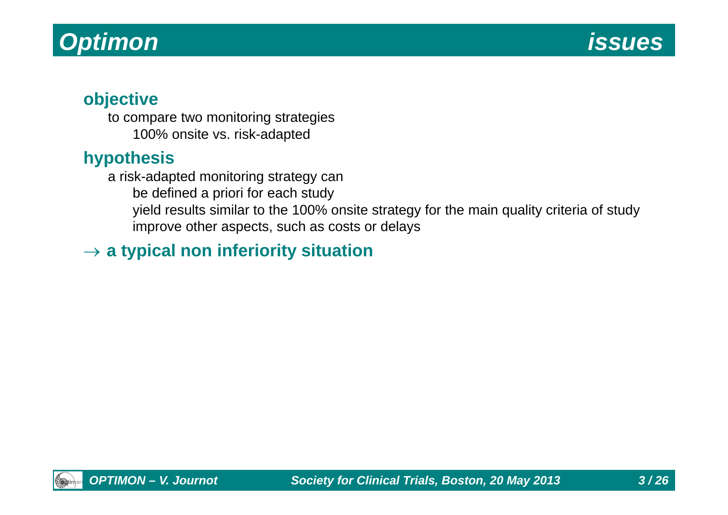# *Optimon issues*



### **objective**

to compare two monitoring strategies 100% onsite vs. risk-adapted

### **hypothesis**

a risk-adapted monitoring strategy can be defined a priori for each study yield results similar to the 100% onsite strategy for the main quality criteria of study improve other aspects, such as costs or delays

## $\rightarrow$  a typical non inferiority situation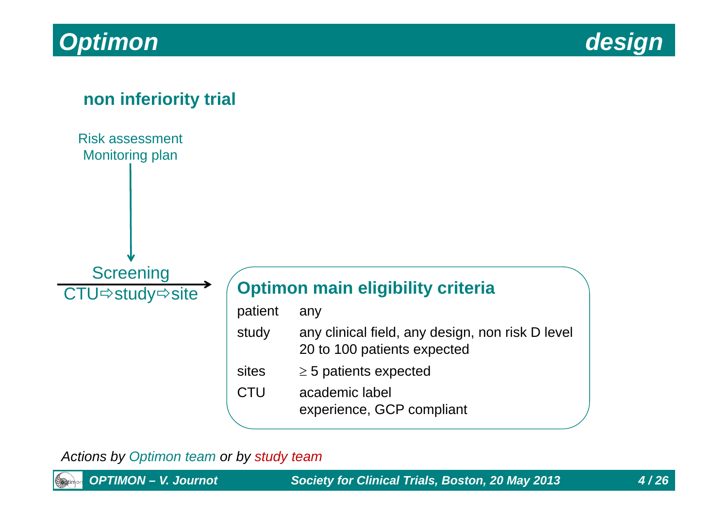# *Optimon design*



### **non inferiority trial**

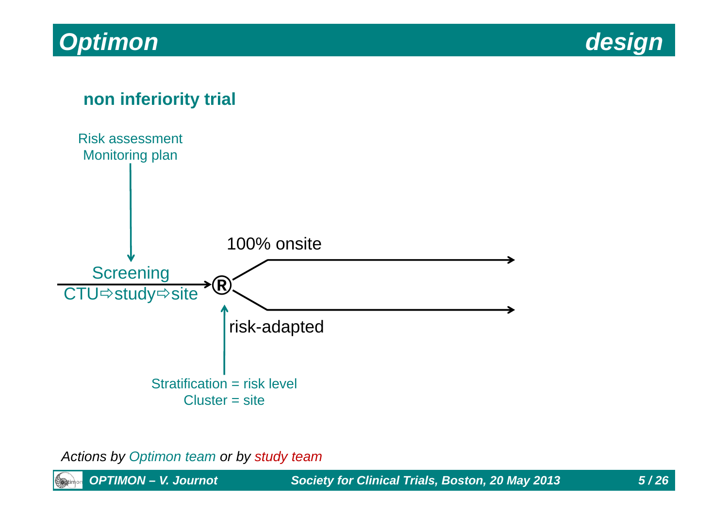# *Optimon design*



### **non inferiority trial**



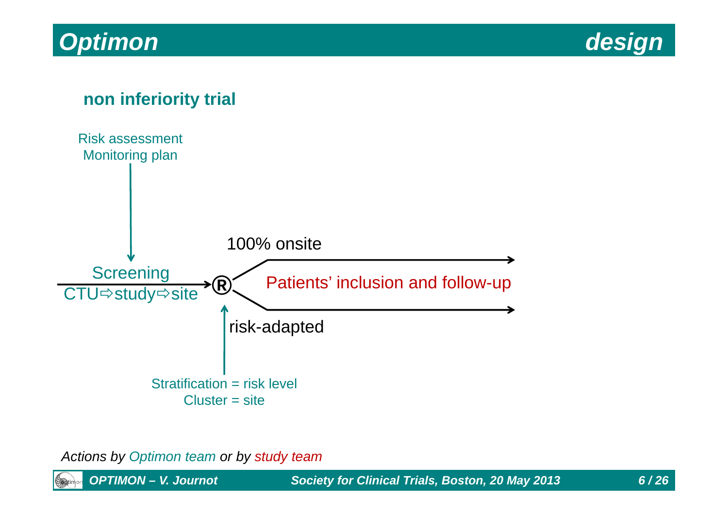



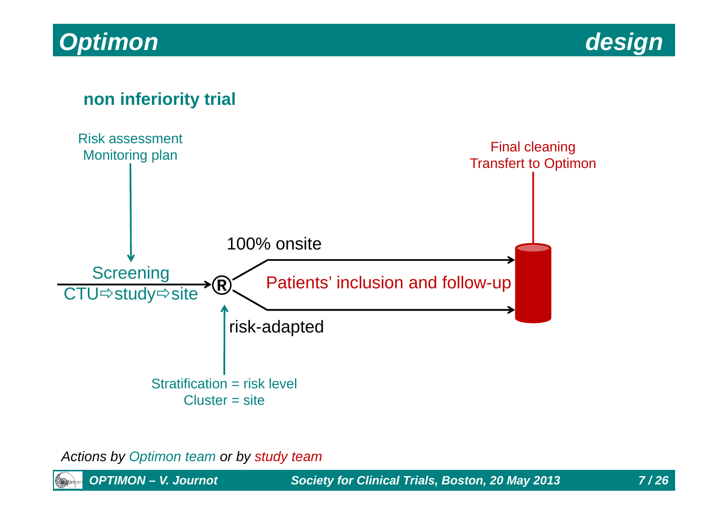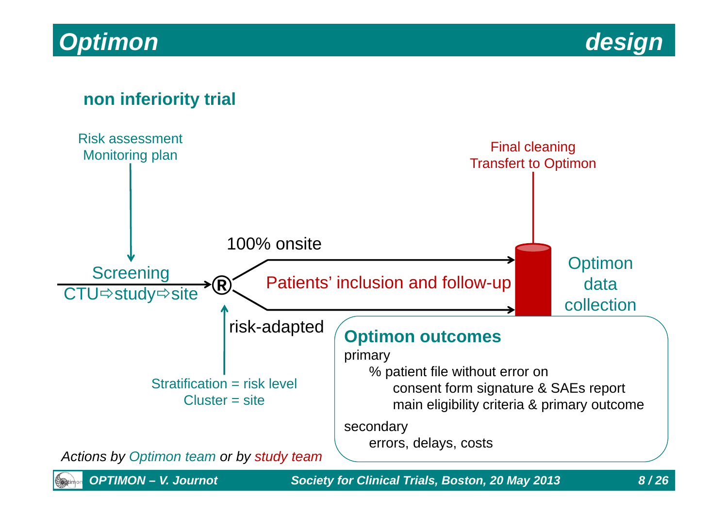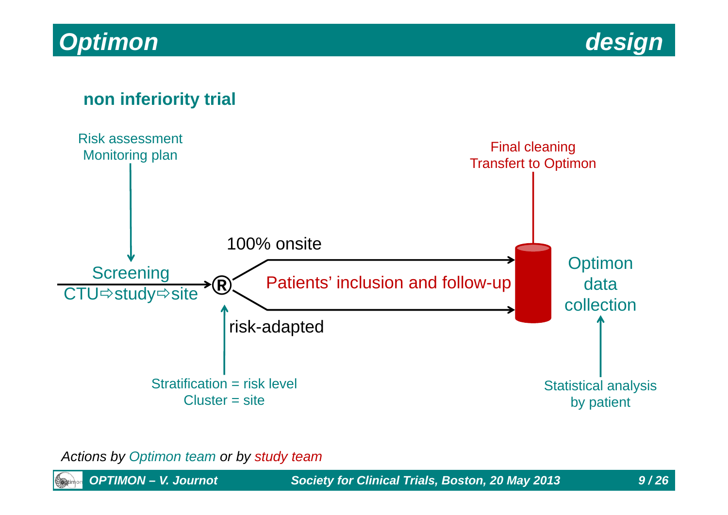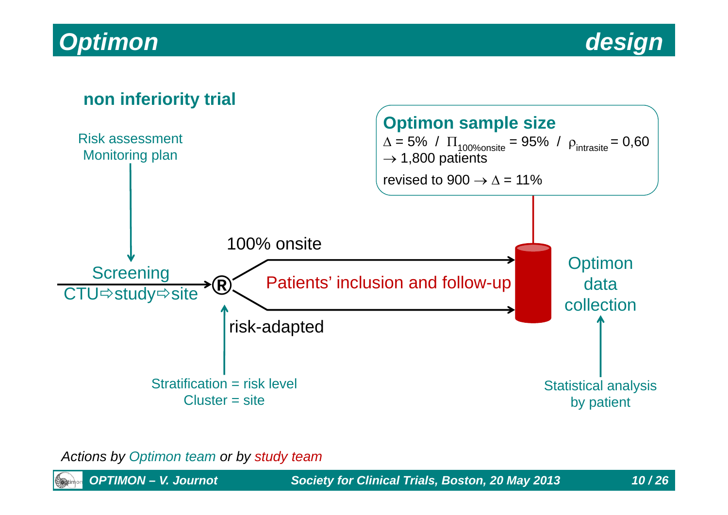# *Optimon design*



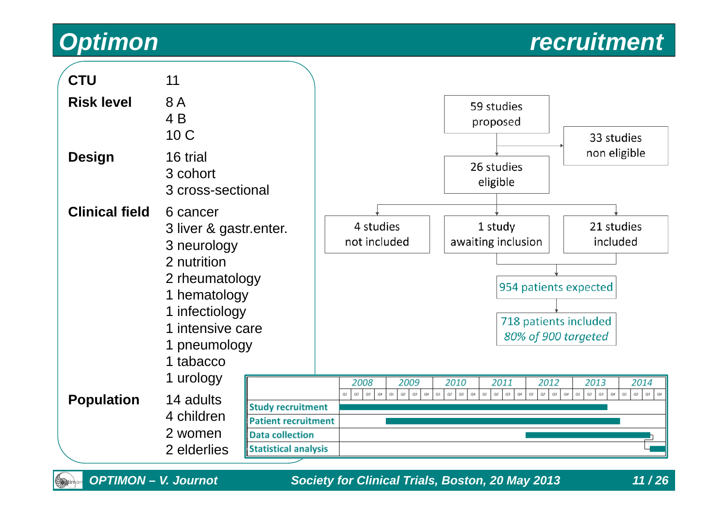## *Optimon recruitment*

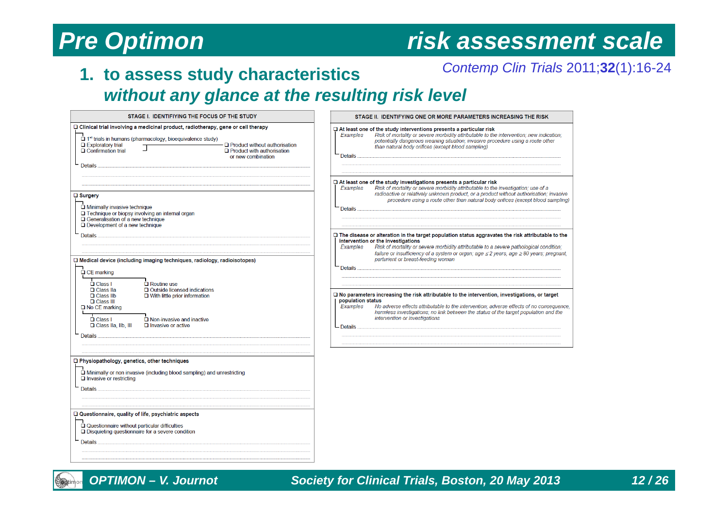### *Contemp Clin Trials* 2011;**32**(1):16-24

## **1. to assess study characteristics** *without any glance at the resulting risk level*

| STAGE I. IDENTIFIYING THE FOCUS OF THE STUDY                                                                                                                                                                                                                                                                                             | STAGE II. IDENTIFYING ONE OR MORE PARAMETERS INCREASING THE RISK                                                                                                                                                                                                                                                                                                                                   |
|------------------------------------------------------------------------------------------------------------------------------------------------------------------------------------------------------------------------------------------------------------------------------------------------------------------------------------------|----------------------------------------------------------------------------------------------------------------------------------------------------------------------------------------------------------------------------------------------------------------------------------------------------------------------------------------------------------------------------------------------------|
| $\Box$ Clinical trial involving a medicinal product, radiotherapy, gene or cell therapy<br>$\Box$ 1 <sup>st</sup> trials in humans (pharmacology, bioequivalence study)<br>$\Box$ Exploratory trial<br>$\Box$ Product without authorisation<br>J<br>$\Box$ Confirmation trial<br>$\Box$ Product with authorisation<br>or new combination | $\Box$ At least one of the study interventions presents a particular risk<br>Risk of mortality or severe morbidity attributable to the intervention; new indication;<br>Examples<br>potentially dangerous weaning situation; invasive procedure using a route other<br>than natural body orifices (except blood sampling)                                                                          |
| $\square$ Surgery<br>$\Box$ Minimally invasive technique<br>□ Technique or biopsy involving an internal organ<br>$\Box$ Generalisation of a new technique<br>$\Box$ Development of a new technique                                                                                                                                       | $\Box$ At least one of the study investigations presents a particular risk<br>Risk of mortality or severe morbidity attributable to the investigation; use of a<br>Examples<br>radioactive or relatively unknown product, or a product without authorisation; invasive<br>procedure using a route other than natural body orifices (except blood sampling)                                         |
| <b>Details</b><br>$\Box$ Medical device (including imaging techniques, radiology, radioisotopes)<br>$\Box$ CE marking                                                                                                                                                                                                                    | $\square$ The disease or alteration in the target population status aggravates the risk attributable to the<br>intervention or the investigations<br>Risk of mortality or severe morbidity attributable to a severe pathological condition;<br>Examples<br>failure or insufficiency of a system or organ; age $\leq$ 2 years, age $\geq$ 80 years; pregnant,<br>parturient or breast-feeding woman |
| $\Box$ Routine use<br>$\Box$ Class I<br>□ Outside licensed indications<br>$\Box$ Class IIa<br>$\square$ With little prior information<br>$\Box$ Class IIb<br><b>Q</b> Class III<br>$\Box$ No CE marking<br>$\Box$ Non-invasive and inactive<br>□ Class I<br>□ Class IIa, IIb, III<br>$\Box$ Invasive or active<br>Details                | □ No parameters increasing the risk attributable to the intervention, investigations, or target<br>population status<br>Examples<br>No adverse effects attributable to the intervention; adverse effects of no consequence,<br>harmless investigations; no link between the status of the target population and the<br>intervention or investigations                                              |
| □ Physiopathology, genetics, other techniques<br>$\Box$ Minimally or non invasive (including blood sampling) and unrestricting<br>$\Box$ Invasive or restricting<br>Details                                                                                                                                                              |                                                                                                                                                                                                                                                                                                                                                                                                    |
| □ Questionnaire, quality of life, psychiatric aspects<br>$\square$ Questionnaire without particular difficulties<br>$\square$ Disquieting questionnaire for a severe condition<br>Details.                                                                                                                                               |                                                                                                                                                                                                                                                                                                                                                                                                    |

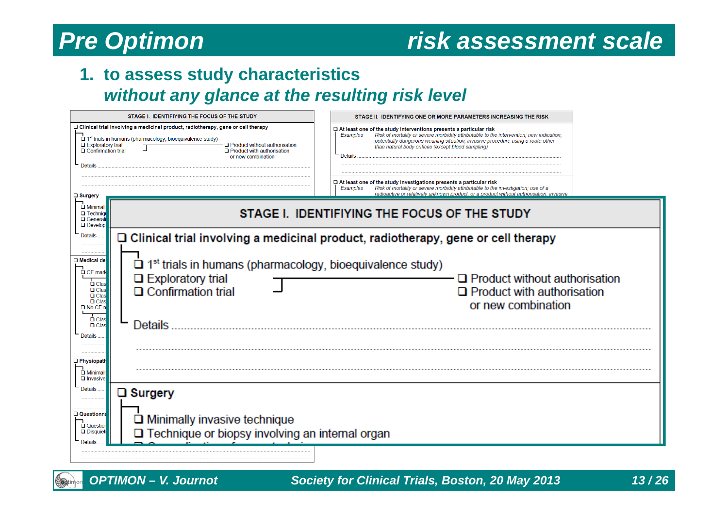## **1. to assess study characteristics** *without any glance at the resulting risk level*

| STAGE I. IDENTIFIYING THE FOCUS OF THE STUDY                                                                                                                                                                                                                                                                                                                                 | STAGE II. IDENTIFYING ONE OR MORE PARAMETERS INCREASING THE RISK                                                                                                                                                                                                                                                                            |
|------------------------------------------------------------------------------------------------------------------------------------------------------------------------------------------------------------------------------------------------------------------------------------------------------------------------------------------------------------------------------|---------------------------------------------------------------------------------------------------------------------------------------------------------------------------------------------------------------------------------------------------------------------------------------------------------------------------------------------|
| □ Clinical trial involving a medicinal product, radiotherapy, gene or cell therapy<br>□ 1 <sup>st</sup> trials in humans (pharmacology, bioequivalence study)<br>$\Box$ Exploratory trial<br>$\Box$ Product without authorisation<br>□ Confirmation trial<br>$\Box$ Product with authorisation<br>or new combination<br><b>Details</b>                                       | $\Box$ At least one of the study interventions presents a particular risk<br>Risk of mortality or severe morbidity attributable to the intervention; new indication;<br>Examples<br>potentially dangerous weaning situation; invasive procedure using a route other<br>than natural body orifices (except blood sampling)<br><b>Details</b> |
|                                                                                                                                                                                                                                                                                                                                                                              | $\square$ At least one of the study investigations presents a particular risk<br>Examples<br>Risk of mortality or severe morbidity attributable to the investigation; use of a<br>radioactive or relatively unknown product, or a product without authorisation: invasive                                                                   |
| $\square$ Surgery<br>$\Box$ Minimally<br>$\Box$ Techniqu<br>□ Generali<br>$\Box$ Develop                                                                                                                                                                                                                                                                                     | STAGE I. IDENTIFIYING THE FOCUS OF THE STUDY                                                                                                                                                                                                                                                                                                |
| <b>Details</b>                                                                                                                                                                                                                                                                                                                                                               | $\Box$ Clinical trial involving a medicinal product, radiotherapy, gene or cell therapy                                                                                                                                                                                                                                                     |
| Medical de<br>$\Box$ 1 <sup>st</sup> trials in humans (pharmacology, bioequivalence study)<br><b>Q</b> CE mark<br>$\Box$ Exploratory trial<br><b>D</b> Clas<br>$\Box$ Confirmation trial<br>$\Box$ Clas<br>$\Box$ Clas<br>$\Box$ Clas<br>$\Box$ No CE n<br>$\Box$ Clas<br>Details<br>$\Box$ Clas<br>Details<br><b>D</b> Physiopath<br><b>Q</b> Minimall<br><b>Q</b> Invasive | $\Box$ Product without authorisation<br>$\Box$ Product with authorisation<br>or new combination                                                                                                                                                                                                                                             |
| Details<br>$\square$ Surgery                                                                                                                                                                                                                                                                                                                                                 |                                                                                                                                                                                                                                                                                                                                             |
| Questionna<br>$\Box$ Minimally invasive technique<br><b>Question</b><br>$\Box$ Technique or biopsy involving an internal organ<br>D Disquieti<br><b>Details</b>                                                                                                                                                                                                              |                                                                                                                                                                                                                                                                                                                                             |
|                                                                                                                                                                                                                                                                                                                                                                              |                                                                                                                                                                                                                                                                                                                                             |

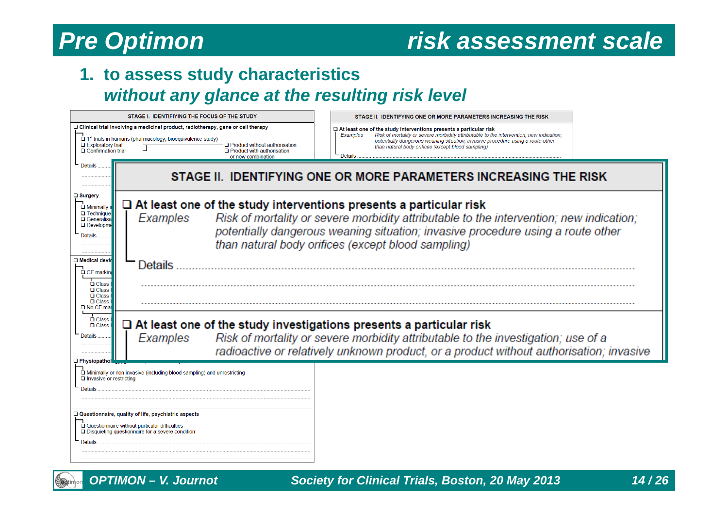**Septimon** 

## *Pre Optimon risk assessment scale*

## **1. to assess study characteristics** *without any glance at the resulting risk level*

| STAGE I. IDENTIFIYING THE FOCUS OF THE STUDY                                                                                                                                                                                                                                                                                                          | STAGE II. IDENTIFYING ONE OR MORE PARAMETERS INCREASING THE RISK                                                                                                                                                                                                                                                                                                                                         |
|-------------------------------------------------------------------------------------------------------------------------------------------------------------------------------------------------------------------------------------------------------------------------------------------------------------------------------------------------------|----------------------------------------------------------------------------------------------------------------------------------------------------------------------------------------------------------------------------------------------------------------------------------------------------------------------------------------------------------------------------------------------------------|
| $\Box$ Clinical trial involving a medicinal product, radiotherapy, gene or cell therapy<br>$\Box$ 1 <sup>st</sup> trials in humans (pharmacology, bioequivalence study)<br>$\Box$ Exploratory trial<br>$\Box$ Product without authorisation<br>$\Box$ Confirmation trial<br>$\Box$ Product with authorisation<br>or new combination<br><b>Details</b> | $\Box$ At least one of the study interventions presents a particular risk<br>Risk of mortality or severe morbidity attributable to the intervention; new indication;<br>Examples<br>potentially dangerous weaning situation; invasive procedure using a route other<br>than natural body orifices (except blood sampling)<br>Details<br>STAGE II. IDENTIFYING ONE OR MORE PARAMETERS INCREASING THE RISK |
| $\square$ Surgery<br>$\Box$ At least one of the study interventions presents a particular risk<br>$\Box$ Minimally<br>$\Box$ Technique<br>Examples<br><b>Q</b> Generalisa<br><b>Q</b> Developme<br><b>Details</b>                                                                                                                                     | Risk of mortality or severe morbidity attributable to the intervention; new indication;<br>potentially dangerous weaning situation; invasive procedure using a route other<br>than natural body orifices (except blood sampling)                                                                                                                                                                         |
| $\square$ Medical devid<br>Details<br>$\Box$ CE marking<br><b>Q</b> Class<br>$\Box$ Class<br>$\Box$ Class<br>$\Box$ Class<br>$\Box$ No CE ma                                                                                                                                                                                                          |                                                                                                                                                                                                                                                                                                                                                                                                          |
| $\Box$ Class<br>$\Box$ At least one of the study investigations presents a particular risk<br>$\Box$ Class<br><b>Details</b><br>Examples<br>□ Physiopatho                                                                                                                                                                                             | Risk of mortality or severe morbidity attributable to the investigation; use of a<br>radioactive or relatively unknown product, or a product without authorisation; invasive                                                                                                                                                                                                                             |
| □ Minimally or non invasive (including blood sampling) and unrestricting<br>$\Box$ Invasive or restricting<br>□ Questionnaire, quality of life, psychiatric aspects<br>$\Box$ Questionnaire without particular difficulties<br>$\square$ Disquieting questionnaire for a severe condition<br>Details                                                  |                                                                                                                                                                                                                                                                                                                                                                                                          |

*OPTIMON – V. Journot Society for Clinical Trials, Boston, 20 May 2013 14 / 26*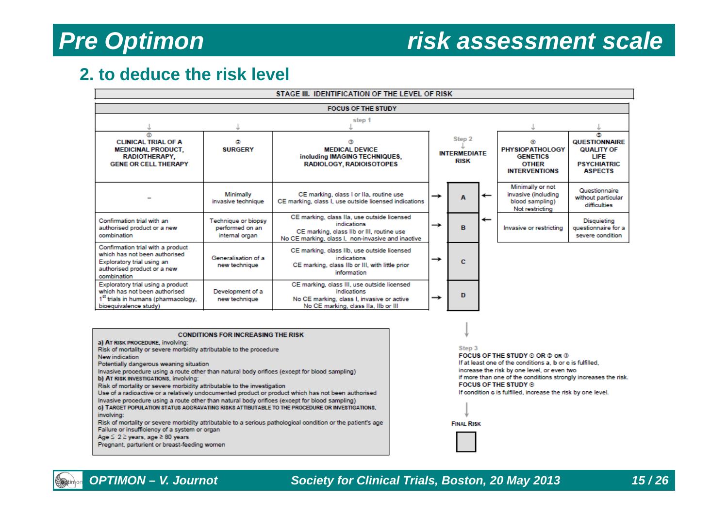### **2. to deduce the risk level**

|                                                                                                                                                |                                                          | STAGE III. IDENTIFICATION OF THE LEVEL OF RISK                                                                                                               |               |                                              |                          |                                                                                        |                                                                                                |
|------------------------------------------------------------------------------------------------------------------------------------------------|----------------------------------------------------------|--------------------------------------------------------------------------------------------------------------------------------------------------------------|---------------|----------------------------------------------|--------------------------|----------------------------------------------------------------------------------------|------------------------------------------------------------------------------------------------|
| <b>FOCUS OF THE STUDY</b>                                                                                                                      |                                                          |                                                                                                                                                              |               |                                              |                          |                                                                                        |                                                                                                |
|                                                                                                                                                |                                                          | step 1                                                                                                                                                       |               |                                              |                          |                                                                                        |                                                                                                |
| ⊚<br><b>CLINICAL TRIAL OF A</b><br><b>MEDICINAL PRODUCT.</b><br><b>RADIOTHERAPY,</b><br><b>GENE OR CELL THERAPY</b>                            | ۵<br><b>SURGERY</b>                                      | <b>MEDICAL DEVICE</b><br>including IMAGING TECHNIQUES,<br><b>RADIOLOGY, RADIOISOTOPES</b>                                                                    |               | Step 2<br><b>INTERMEDIATE</b><br><b>RISK</b> |                          | ⊛<br><b>PHYSIOPATHOLOGY</b><br><b>GENETICS</b><br><b>OTHER</b><br><b>INTERVENTIONS</b> | ω<br><b>QUESTIONNAIRE</b><br>QUALITY OF<br><b>LIFE</b><br><b>PSYCHIATRIC</b><br><b>ASPECTS</b> |
|                                                                                                                                                | Minimally<br>invasive technique                          | CE marking, class I or IIa, routine use<br>CE marking, class I, use outside licensed indications                                                             | $\rightarrow$ | A                                            | $\overline{\phantom{0}}$ | Minimally or not<br>invasive (including<br>blood sampling)<br>Not restricting          | Questionnaire<br>without particular<br>difficulties                                            |
| Confirmation trial with an<br>authorised product or a new<br>combination                                                                       | Technique or biopsy<br>performed on an<br>internal organ | CE marking, class IIa, use outside licensed<br>indications<br>CE marking, class IIb or III, routine use<br>No CE marking, class I, non-invasive and inactive | $\rightarrow$ | в                                            | ←                        | Invasive or restricting                                                                | Disquieting<br>questionnaire for a<br>severe condition                                         |
| Confirmation trial with a product<br>which has not been authorised<br>Exploratory trial using an<br>authorised product or a new<br>combination | Generalisation of a<br>new technique                     | CE marking, class IIb, use outside licensed<br>indications<br>CE marking, class IIb or III, with little prior<br>information                                 | →             | c                                            |                          |                                                                                        |                                                                                                |
| Exploratory trial using a product<br>which has not been authorised<br>1 <sup>st</sup> trials in humans (pharmacology,<br>bioequivalence study) | Development of a<br>new technique                        | CE marking, class III, use outside licensed<br>indications<br>No CE marking, class I, invasive or active<br>No CE marking, class IIa, IIb or III             | →             | D                                            |                          |                                                                                        |                                                                                                |

### **CONDITIONS FOR INCREASING THE RISK**

- a) AT RISK PROCEDURE, involving:
- Risk of mortality or severe morbidity attributable to the procedure
- New indication
- Potentially dangerous weaning situation
- Invasive procedure using a route other than natural body orifices (except for blood sampling)
- b) AT RISK INVESTIGATIONS, involving:
- Risk of mortality or severe morbidity attributable to the investigation
- Use of a radioactive or a relatively undocumented product or product which has not been authorised Invasive procedure using a route other than natural body orifices (except for blood sampling) c) TARGET POPULATION STATUS AGGRAVATING RISKS ATTIBUTABLE TO THE PROCEDURE OR INVESTIGATIONS. involving:
- Risk of mortality or severe morbidity attributable to a serious pathological condition or the patient's age Failure or insufficiency of a system or organ
- Age  $\leq 2 \geq$  years, age  $\geq 80$  years
- Pregnant, parturient or breast-feeding women

Step 3 FOCUS OF THE STUDY @ OR @ OR @

If at least one of the conditions a, b or c is fulfilled. increase the risk by one level, or even two if more than one of the conditions strongly increases the risk. **FOCUS OF THE STUDY ®** If condition c is fulfilled, increase the risk by one level.





*OPTIMON – V. Journot Society for Clinical Trials, Boston, 20 May 2013 15 / 26*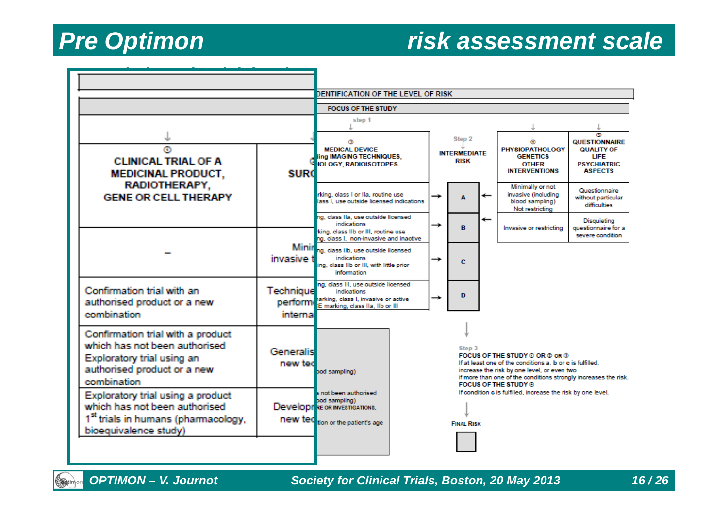

*OPTIMON – V. Journot Society for Clinical Trials, Boston, 20 May 2013 16 / 26*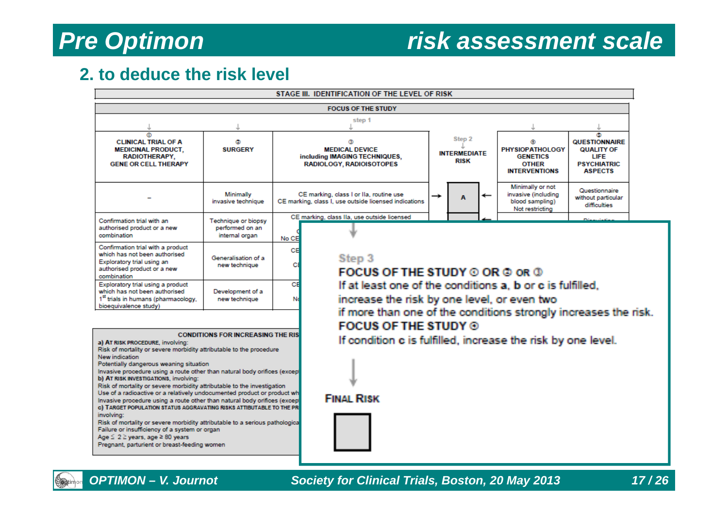### **2. to deduce the risk level**

| STAGE III. IDENTIFICATION OF THE LEVEL OF RISK                                                                                                                                                                                                                                                                                                                                                                                                                                                                                                                                                                                                                                                                                                                                                                                                                                                                                                                                                                                                                                      |                                                          |                                                                                                                                                                                                                                                                                                                                     |  |  |  |  |
|-------------------------------------------------------------------------------------------------------------------------------------------------------------------------------------------------------------------------------------------------------------------------------------------------------------------------------------------------------------------------------------------------------------------------------------------------------------------------------------------------------------------------------------------------------------------------------------------------------------------------------------------------------------------------------------------------------------------------------------------------------------------------------------------------------------------------------------------------------------------------------------------------------------------------------------------------------------------------------------------------------------------------------------------------------------------------------------|----------------------------------------------------------|-------------------------------------------------------------------------------------------------------------------------------------------------------------------------------------------------------------------------------------------------------------------------------------------------------------------------------------|--|--|--|--|
|                                                                                                                                                                                                                                                                                                                                                                                                                                                                                                                                                                                                                                                                                                                                                                                                                                                                                                                                                                                                                                                                                     |                                                          | <b>FOCUS OF THE STUDY</b>                                                                                                                                                                                                                                                                                                           |  |  |  |  |
|                                                                                                                                                                                                                                                                                                                                                                                                                                                                                                                                                                                                                                                                                                                                                                                                                                                                                                                                                                                                                                                                                     |                                                          | step 1                                                                                                                                                                                                                                                                                                                              |  |  |  |  |
| ⊚<br><b>CLINICAL TRIAL OF A</b><br><b>MEDICINAL PRODUCT.</b><br><b>RADIOTHERAPY,</b><br><b>GENE OR CELL THERAPY</b>                                                                                                                                                                                                                                                                                                                                                                                                                                                                                                                                                                                                                                                                                                                                                                                                                                                                                                                                                                 | ۵<br><b>SURGERY</b>                                      | Ф<br>Step 2<br><b>QUESTIONNAIRE</b><br>۵<br>Φ<br><b>MEDICAL DEVICE</b><br><b>PHYSIOPATHOLOGY</b><br>QUALITY OF<br><b>INTERMEDIATE</b><br>including IMAGING TECHNIQUES,<br><b>GENETICS</b><br>LIFE<br><b>RISK</b><br><b>PSYCHIATRIC</b><br><b>RADIOLOGY, RADIOISOTOPES</b><br><b>OTHER</b><br><b>INTERVENTIONS</b><br><b>ASPECTS</b> |  |  |  |  |
|                                                                                                                                                                                                                                                                                                                                                                                                                                                                                                                                                                                                                                                                                                                                                                                                                                                                                                                                                                                                                                                                                     | Minimally<br>invasive technique                          | Minimally or not<br>Questionnaire<br>CE marking, class I or IIa, routine use<br>invasive (including<br>→<br>without particular<br>CE marking, class I, use outside licensed indications<br>blood sampling)<br>difficulties<br>Not restricting                                                                                       |  |  |  |  |
| Confirmation trial with an<br>authorised product or a new<br>combination                                                                                                                                                                                                                                                                                                                                                                                                                                                                                                                                                                                                                                                                                                                                                                                                                                                                                                                                                                                                            | Technique or biopsy<br>performed on an<br>internal organ | CE marking, class IIa, use outside licensed<br>No CE                                                                                                                                                                                                                                                                                |  |  |  |  |
| Confirmation trial with a product<br>which has not been authorised<br>Exploratory trial using an<br>authorised product or a new<br>combination                                                                                                                                                                                                                                                                                                                                                                                                                                                                                                                                                                                                                                                                                                                                                                                                                                                                                                                                      | Generalisation of a<br>new technique                     | CE<br>Step 3<br>с<br>FOCUS OF THE STUDY © OR © OR ①                                                                                                                                                                                                                                                                                 |  |  |  |  |
| Exploratory trial using a product<br>which has not been authorised<br>1 <sup>st</sup> trials in humans (pharmacology,<br>bioequivalence study)                                                                                                                                                                                                                                                                                                                                                                                                                                                                                                                                                                                                                                                                                                                                                                                                                                                                                                                                      | Development of a<br>new technique                        | CE<br>If at least one of the conditions a, b or c is fulfilled.<br>increase the risk by one level, or even two<br>No                                                                                                                                                                                                                |  |  |  |  |
| if more than one of the conditions strongly increases the risk.<br><b>FOCUS OF THE STUDY @</b><br><b>CONDITIONS FOR INCREASING THE RIS</b><br>If condition c is fulfilled, increase the risk by one level.<br>a) AT RISK PROCEDURE, involving:<br>Risk of mortality or severe morbidity attributable to the procedure<br>New indication<br>Potentially dangerous weaning situation<br>Invasive procedure using a route other than natural body orifices (excep<br>b) AT RISK INVESTIGATIONS, involving:<br>Risk of mortality or severe morbidity attributable to the investigation<br>Use of a radioactive or a relatively undocumented product or product wh<br><b>FINAL RISK</b><br>Invasive procedure using a route other than natural body orifices (excep<br>c) TARGET POPULATION STATUS AGGRAVATING RISKS ATTIBUTABLE TO THE PR<br>involving:<br>Risk of mortality or severe morbidity attributable to a serious pathologica<br>Failure or insufficiency of a system or organ<br>Age $\leq 2 \geq$ years, age $\geq 80$ years<br>Pregnant, parturient or breast-feeding women |                                                          |                                                                                                                                                                                                                                                                                                                                     |  |  |  |  |

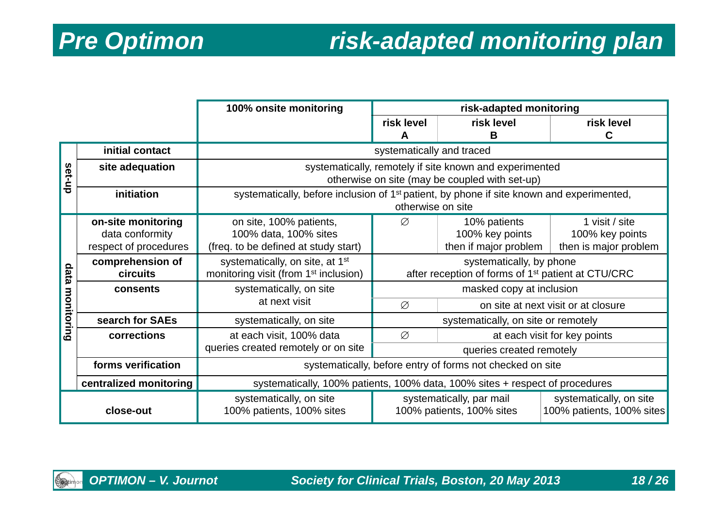|            |                                                                | 100% onsite monitoring                                                                                |                                                                                                               | risk-adapted monitoring                                                                                   |                                                            |  |
|------------|----------------------------------------------------------------|-------------------------------------------------------------------------------------------------------|---------------------------------------------------------------------------------------------------------------|-----------------------------------------------------------------------------------------------------------|------------------------------------------------------------|--|
|            |                                                                |                                                                                                       | risk level<br>A                                                                                               | risk level<br>В                                                                                           | risk level<br>C                                            |  |
|            | initial contact                                                |                                                                                                       | systematically and traced                                                                                     |                                                                                                           |                                                            |  |
| set-up     | site adequation                                                |                                                                                                       |                                                                                                               | systematically, remotely if site known and experimented<br>otherwise on site (may be coupled with set-up) |                                                            |  |
|            | initiation                                                     | systematically, before inclusion of 1 <sup>st</sup> patient, by phone if site known and experimented, | otherwise on site                                                                                             |                                                                                                           |                                                            |  |
|            | on-site monitoring<br>data conformity<br>respect of procedures | on site, 100% patients,<br>100% data, 100% sites<br>(freq. to be defined at study start)              | Ø                                                                                                             | 10% patients<br>100% key points<br>then if major problem                                                  | 1 visit / site<br>100% key points<br>then is major problem |  |
| data       | comprehension of<br><b>circuits</b>                            | systematically, on site, at 1 <sup>st</sup><br>monitoring visit (from 1 <sup>st</sup> inclusion)      | systematically, by phone<br>after reception of forms of 1 <sup>st</sup> patient at CTU/CRC                    |                                                                                                           |                                                            |  |
|            | consents                                                       | systematically, on site                                                                               |                                                                                                               | masked copy at inclusion                                                                                  |                                                            |  |
| monitoring |                                                                | at next visit                                                                                         | Ø                                                                                                             |                                                                                                           | on site at next visit or at closure                        |  |
|            | search for SAEs                                                | systematically, on site                                                                               | systematically, on site or remotely                                                                           |                                                                                                           |                                                            |  |
|            | corrections                                                    | at each visit, 100% data                                                                              | Ø<br>at each visit for key points                                                                             |                                                                                                           |                                                            |  |
|            |                                                                | queries created remotely or on site                                                                   | queries created remotely                                                                                      |                                                                                                           |                                                            |  |
|            | forms verification                                             |                                                                                                       | systematically, before entry of forms not checked on site                                                     |                                                                                                           |                                                            |  |
|            | centralized monitoring                                         |                                                                                                       | systematically, 100% patients, 100% data, 100% sites + respect of procedures                                  |                                                                                                           |                                                            |  |
|            | close-out                                                      | systematically, on site<br>100% patients, 100% sites                                                  | systematically, par mail<br>systematically, on site<br>100% patients, 100% sites<br>100% patients, 100% sites |                                                                                                           |                                                            |  |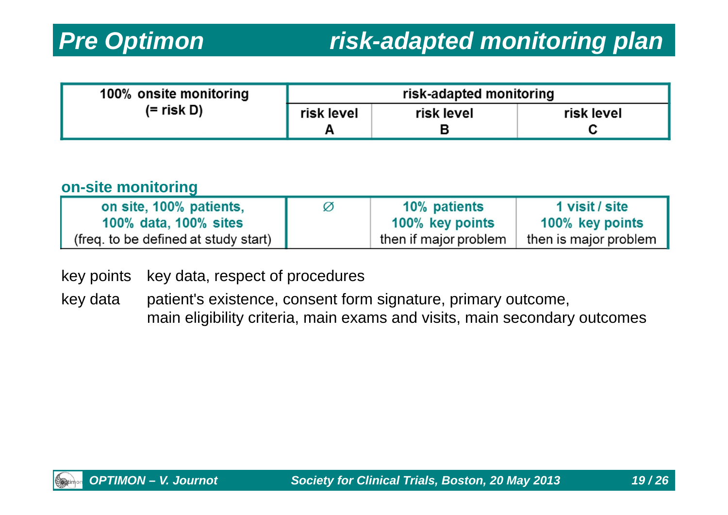| 100% onsite monitoring | risk-adapted monitoring |            |            |
|------------------------|-------------------------|------------|------------|
| $(=$ risk D)           | risk level              | risk level | risk level |
|                        |                         |            |            |

### **on-site monitoring**

| on site, 100% patients,              | Ø | 10% patients          | 1 visit / site        |
|--------------------------------------|---|-----------------------|-----------------------|
| 100% data, 100% sites                |   | 100% key points       | 100% key points       |
| (freq. to be defined at study start) |   | then if major problem | then is major problem |

key points key data, respect of procedures

key data patient's existence, consent form signature, primary outcome, main eligibility criteria, main exams and visits, main secondary outcomes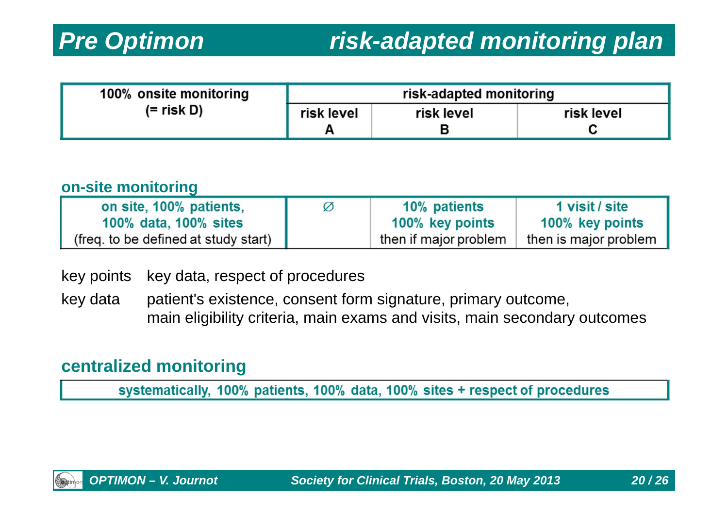| 100% onsite monitoring | risk-adapted monitoring |            |            |
|------------------------|-------------------------|------------|------------|
| $(=$ risk D)           | risk level              | risk level | risk level |
|                        |                         |            |            |

### **on-site monitoring**

| on site, 100% patients,              | Ø | 10% patients          | 1 visit / site        |
|--------------------------------------|---|-----------------------|-----------------------|
| 100% data, 100% sites                |   | 100% key points       | 100% key points       |
| (freq. to be defined at study start) |   | then if major problem | then is major problem |

key points key data, respect of procedures

key data patient's existence, consent form signature, primary outcome, main eligibility criteria, main exams and visits, main secondary outcomes

### **centralized monitoring**

systematically, 100% patients, 100% data, 100% sites + respect of procedures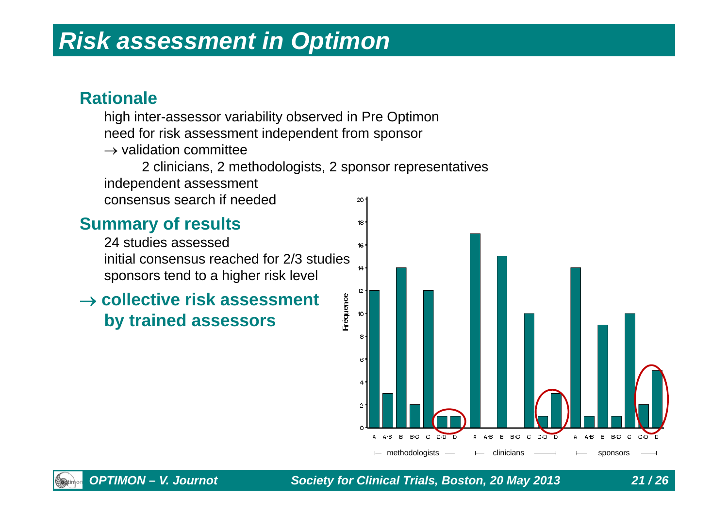# *Risk assessment in Optimon*

### **Rationale**

high inter-assessor variability observed in Pre Optimon need for risk assessment independent from sponsor  $\rightarrow$  validation committee 2 clinicians, 2 methodologists, 2 sponsor representatives independent assessment consensus search if needed $20<sup>1</sup>$ **Summary of results**  $18$ 

Fréquence

24 studies assessedinitial consensus reached for 2/3 studiessponsors tend to a higher risk level

### **collective risk assessment by trained assessors**



*OPTIMON – V. Journot Society for Clinical Trials, Boston, 20 May 2013 21 / 26*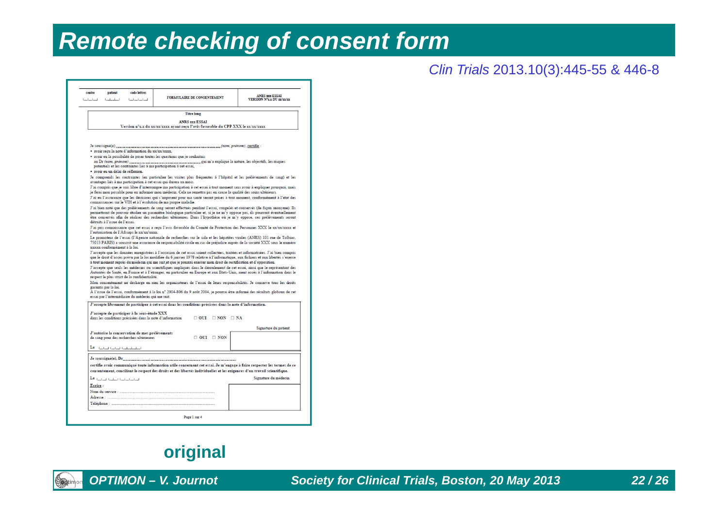## *Remote checking of consent form*

### *Clin Trials* 2013.10(3):445-55 & 446-8

| centre<br>التساعدا | patient<br>1111                      | code lettres<br>$1 - 1 - 1 - 1 - 1$                                                                     | FORMULAIRE DE CONSENTEMENT                                                                                                                                                                                                                                    | <b>ANRS TIT ESSAI</b><br><b>VERSION N°1 I DU II/II/II</b> |
|--------------------|--------------------------------------|---------------------------------------------------------------------------------------------------------|---------------------------------------------------------------------------------------------------------------------------------------------------------------------------------------------------------------------------------------------------------------|-----------------------------------------------------------|
|                    |                                      |                                                                                                         | <b>Titre long</b>                                                                                                                                                                                                                                             |                                                           |
|                    |                                      |                                                                                                         |                                                                                                                                                                                                                                                               |                                                           |
|                    |                                      |                                                                                                         | <b>ANRS III ESSAI</b><br>Version nºx.x du xx/xx/xxxx ayant reçu l'avis favorable du CPP XXX le xx/xx/xxxx                                                                                                                                                     |                                                           |
|                    |                                      |                                                                                                         |                                                                                                                                                                                                                                                               |                                                           |
|                    |                                      |                                                                                                         |                                                                                                                                                                                                                                                               |                                                           |
|                    |                                      |                                                                                                         |                                                                                                                                                                                                                                                               |                                                           |
|                    |                                      | · avoir reçu la note d'information du xx/xx/xxxx.                                                       |                                                                                                                                                                                                                                                               |                                                           |
|                    |                                      |                                                                                                         | · avoir eu la possibilité de poser toutes les questions que je souhaitais                                                                                                                                                                                     |                                                           |
|                    |                                      |                                                                                                         | potentiels et les contraintes liés à ma participation à cet essai,                                                                                                                                                                                            |                                                           |
|                    | · avoir eu un délai de réflexion.    |                                                                                                         |                                                                                                                                                                                                                                                               |                                                           |
|                    |                                      |                                                                                                         | Je comprends les contraintes (en particulier les visites plus fréquentes à l'hôpital et les prélèvements de sang) et les                                                                                                                                      |                                                           |
|                    |                                      |                                                                                                         | avantages liés à ma participation à cet essai qui durera xx mois.<br>J'ai compris que je suis libre d'interrompre ma participation à cet essai à tout moment sans avoir à expliquer pourquoi, mais                                                            |                                                           |
|                    |                                      |                                                                                                         | je ferai mon possible pour en informer mon médecin. Cela ne remettra pas en cause la qualité des soins ultérieurs.                                                                                                                                            |                                                           |
|                    |                                      |                                                                                                         | J'ai eu l'assurance que les décisions qui s'imposent pour ma santé seront prises à tout moment, conformément à l'état des                                                                                                                                     |                                                           |
|                    |                                      |                                                                                                         | connaissances sur le VIH et à l'évolution de ma propre maladie.                                                                                                                                                                                               |                                                           |
|                    |                                      |                                                                                                         | J'ai bien noté que des prélèvements de sang seront effectués pendant l'essai, congelés et conservés (de façon anonyme). Ils<br>permettront de pouvoir étudier un paramètre biologique particulier et, si je ne m'y oppose pas, ils pourront éventuellement    |                                                           |
|                    |                                      |                                                                                                         | être conservés afin de réaliser des recherches ultérieures. Dans l'hypothèse où je m'y oppose, ces prélèvements seront                                                                                                                                        |                                                           |
|                    | détruits à l'issue de l'essai.       |                                                                                                         |                                                                                                                                                                                                                                                               |                                                           |
|                    |                                      | l'autorisation de l'Afssaps le xx/xx/xxxx.                                                              | J'ai pris connaissance que cet essai a reçu l'avis favorable du Comité de Protection des Personnes XXX le xx/xx/xxxx et                                                                                                                                       |                                                           |
|                    |                                      |                                                                                                         | Le promoteur de l'essai (l'Agence nationale de recherches sur le sida et les hépatites virales (ANRS) 101 rue de Tolbiac,                                                                                                                                     |                                                           |
|                    |                                      |                                                                                                         | 75013 PARIS) a souscrit une assurance de responsabilité civile en cas de préjudice auprès de la société XXX sous le numéro                                                                                                                                    |                                                           |
|                    | xxxxx conformément à la loi.         |                                                                                                         | J'accepte que les données enregistrées à l'occasion de cet essai soient collectées, traitées et informatisées. J'ai bien compris                                                                                                                              |                                                           |
|                    |                                      |                                                                                                         | que le droit d'accès prévu par la loi modifiée du 6 janvier 1978 relative à l'informatique, aux fichiers et aux libertés s'exerce                                                                                                                             |                                                           |
|                    |                                      |                                                                                                         | à tout moment auprès du médecin qui me suit et que je pourrai exercer mon droit de rectification et d'opposition.                                                                                                                                             |                                                           |
|                    |                                      |                                                                                                         | J'accepte que seuls les médecins ou scientifiques impliqués dans le déroulement de cet essai, ainsi que le représentant des<br>Autorités de Santé, en France et à l'étranger, en particulier en Europe et aux Etats-Unis, aient accès à l'information dans le |                                                           |
|                    |                                      | respect le plus strict de la confidentialité.                                                           |                                                                                                                                                                                                                                                               |                                                           |
|                    |                                      |                                                                                                         | Mon consentement ne décharge en rien les organisateurs de l'essai de leurs responsabilités. Je conserve tous les droits                                                                                                                                       |                                                           |
|                    | garantis par la loi.                 |                                                                                                         | A l'issue de l'essai, conformément à la loi n° 2004-806 du 9 août 2004, je pourrai être informé des résultats globaux de cet                                                                                                                                  |                                                           |
|                    |                                      | essai par l'intermédiaire du médecin qui me suit.                                                       |                                                                                                                                                                                                                                                               |                                                           |
|                    |                                      |                                                                                                         | J'accepte librement de participer à cet essai dans les conditions précisées dans la note d'information.                                                                                                                                                       |                                                           |
|                    |                                      |                                                                                                         |                                                                                                                                                                                                                                                               |                                                           |
|                    |                                      | J'accepte de participer à la sous-étude XXX<br>dans les conditions précisées dans la note d'information | $\Box$ OUI $\Box$ NON $\Box$ NA                                                                                                                                                                                                                               |                                                           |
|                    |                                      |                                                                                                         |                                                                                                                                                                                                                                                               |                                                           |
|                    |                                      |                                                                                                         |                                                                                                                                                                                                                                                               | Signature du patient                                      |
|                    |                                      | J'autorise la conservation de mes prélèvements<br>de sang pour des recherches ultérieures               | $\Box$ OUI $\Box$ NON                                                                                                                                                                                                                                         |                                                           |
|                    |                                      |                                                                                                         |                                                                                                                                                                                                                                                               |                                                           |
|                    | Le - the band band bandwide dark     |                                                                                                         |                                                                                                                                                                                                                                                               |                                                           |
|                    |                                      |                                                                                                         |                                                                                                                                                                                                                                                               |                                                           |
|                    |                                      |                                                                                                         | certifie avoir communiqué toute information utile concernant cet essai. Je m'engage à faire respecter les termes de ce                                                                                                                                        |                                                           |
|                    |                                      |                                                                                                         | consentement, conciliant le respect des droits et des libertés individuelles et les exigences d'un travail scientifique.                                                                                                                                      |                                                           |
|                    |                                      |                                                                                                         |                                                                                                                                                                                                                                                               |                                                           |
|                    | Le <sub>baba</sub> t babat bababatad |                                                                                                         |                                                                                                                                                                                                                                                               | Signature du médecin                                      |
| Ecrire :           |                                      |                                                                                                         |                                                                                                                                                                                                                                                               |                                                           |
|                    |                                      |                                                                                                         |                                                                                                                                                                                                                                                               |                                                           |
|                    |                                      |                                                                                                         |                                                                                                                                                                                                                                                               |                                                           |
|                    |                                      |                                                                                                         |                                                                                                                                                                                                                                                               |                                                           |
|                    |                                      |                                                                                                         |                                                                                                                                                                                                                                                               |                                                           |
|                    |                                      |                                                                                                         | Page 1 sur 4                                                                                                                                                                                                                                                  |                                                           |

## **original**

**Septimon**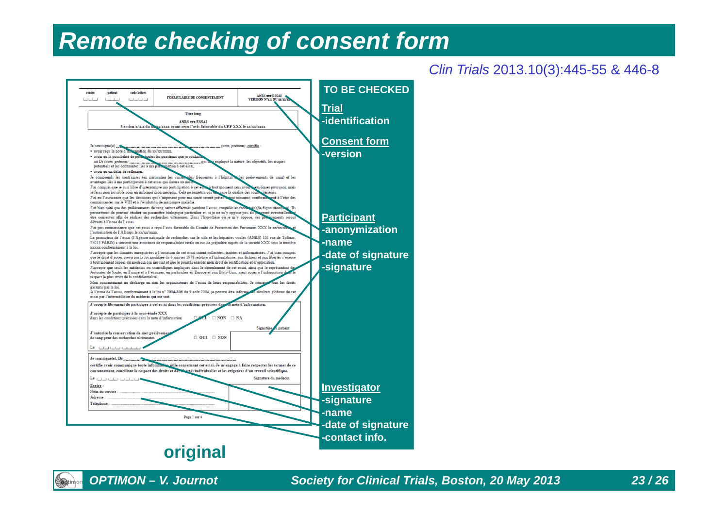## *Remote checking of consent form*



### *Clin Trials* 2013.10(3):445-55 & 446-8

**Septimon** 

*OPTIMON – V. Journot Society for Clinical Trials, Boston, 20 May 2013 23 / 26*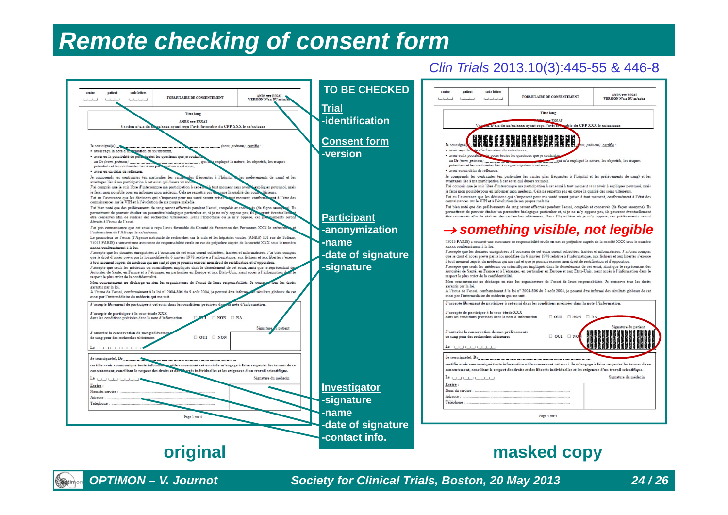## *Remote checking of consent form*

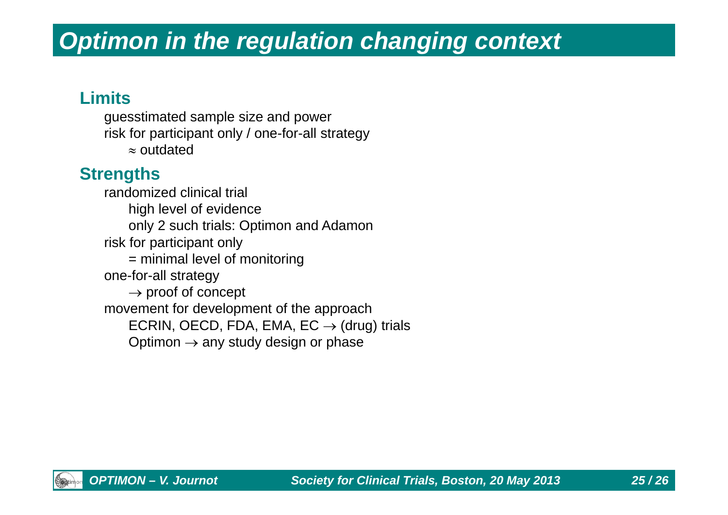# *Optimon in the regulation changing context*

## **Limits**

guesstimated sample size and power risk for participant only / one-for-all strategy  $\approx$  outdated

## **Strengths**

randomized clinical trial high level of evidence only 2 such trials: Optimon and Adamon risk for participant only = minimal level of monitoring one-for-all strategy  $\rightarrow$  proof of concept movement for development of the approach ECRIN, OECD, FDA, EMA, EC  $\rightarrow$  (drug) trials Optimon  $\rightarrow$  any study design or phase